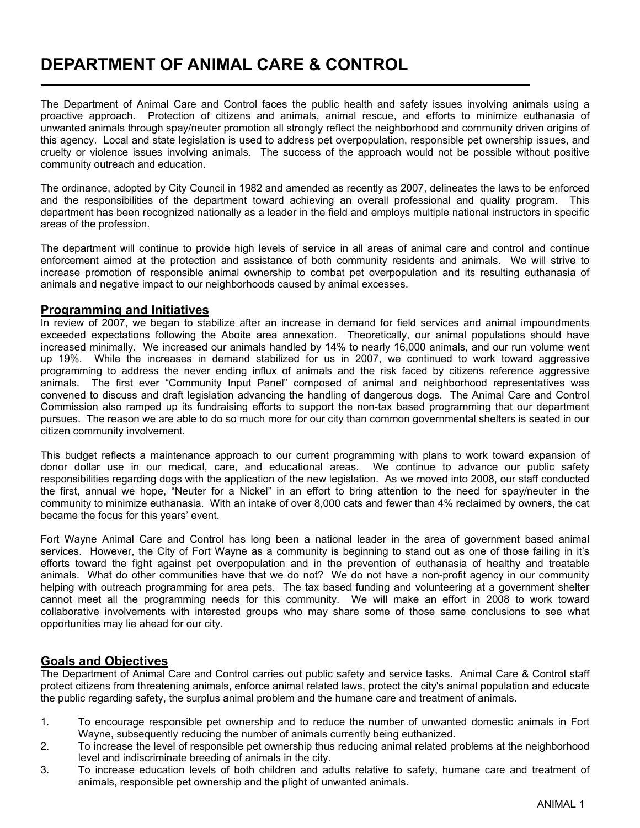# DEPARTMENT OF ANIMAL CARE & CONTROL

The Department of Animal Care and Control faces the public health and safety issues involving animals using a proactive approach. Protection of citizens and animals, animal rescue, and efforts to minimize euthanasia of unwanted animals through spay/neuter promotion all strongly reflect the neighborhood and community driven origins of this agency. Local and state legislation is used to address pet overpopulation, responsible pet ownership issues, and cruelty or violence issues involving animals. The success of the approach would not be possible without positive community outreach and education.

The ordinance, adopted by City Council in 1982 and amended as recently as 2007, delineates the laws to be enforced and the responsibilities of the department toward achieving an overall professional and quality program. This department has been recognized nationally as a leader in the field and employs multiple national instructors in specific areas of the profession.

The department will continue to provide high levels of service in all areas of animal care and control and continue enforcement aimed at the protection and assistance of both community residents and animals. We will strive to increase promotion of responsible animal ownership to combat pet overpopulation and its resulting euthanasia of animals and negative impact to our neighborhoods caused by animal excesses.

#### Programming and Initiatives

l

In review of 2007, we began to stabilize after an increase in demand for field services and animal impoundments exceeded expectations following the Aboite area annexation. Theoretically, our animal populations should have increased minimally. We increased our animals handled by 14% to nearly 16,000 animals, and our run volume went up 19%. While the increases in demand stabilized for us in 2007, we continued to work toward aggressive programming to address the never ending influx of animals and the risk faced by citizens reference aggressive animals. The first ever "Community Input Panel" composed of animal and neighborhood representatives was convened to discuss and draft legislation advancing the handling of dangerous dogs. The Animal Care and Control Commission also ramped up its fundraising efforts to support the non-tax based programming that our department pursues. The reason we are able to do so much more for our city than common governmental shelters is seated in our citizen community involvement.

This budget reflects a maintenance approach to our current programming with plans to work toward expansion of donor dollar use in our medical, care, and educational areas. We continue to advance our public safety responsibilities regarding dogs with the application of the new legislation. As we moved into 2008, our staff conducted the first, annual we hope, "Neuter for a Nickel" in an effort to bring attention to the need for spay/neuter in the community to minimize euthanasia. With an intake of over 8,000 cats and fewer than 4% reclaimed by owners, the cat became the focus for this years' event.

Fort Wayne Animal Care and Control has long been a national leader in the area of government based animal services. However, the City of Fort Wayne as a community is beginning to stand out as one of those failing in it's efforts toward the fight against pet overpopulation and in the prevention of euthanasia of healthy and treatable animals. What do other communities have that we do not? We do not have a non-profit agency in our community helping with outreach programming for area pets. The tax based funding and volunteering at a government shelter cannot meet all the programming needs for this community. We will make an effort in 2008 to work toward collaborative involvements with interested groups who may share some of those same conclusions to see what opportunities may lie ahead for our city.

### Goals and Objectives

The Department of Animal Care and Control carries out public safety and service tasks. Animal Care & Control staff protect citizens from threatening animals, enforce animal related laws, protect the city's animal population and educate the public regarding safety, the surplus animal problem and the humane care and treatment of animals.

- 1. To encourage responsible pet ownership and to reduce the number of unwanted domestic animals in Fort Wayne, subsequently reducing the number of animals currently being euthanized.
- 2. To increase the level of responsible pet ownership thus reducing animal related problems at the neighborhood level and indiscriminate breeding of animals in the city.
- 3. To increase education levels of both children and adults relative to safety, humane care and treatment of animals, responsible pet ownership and the plight of unwanted animals.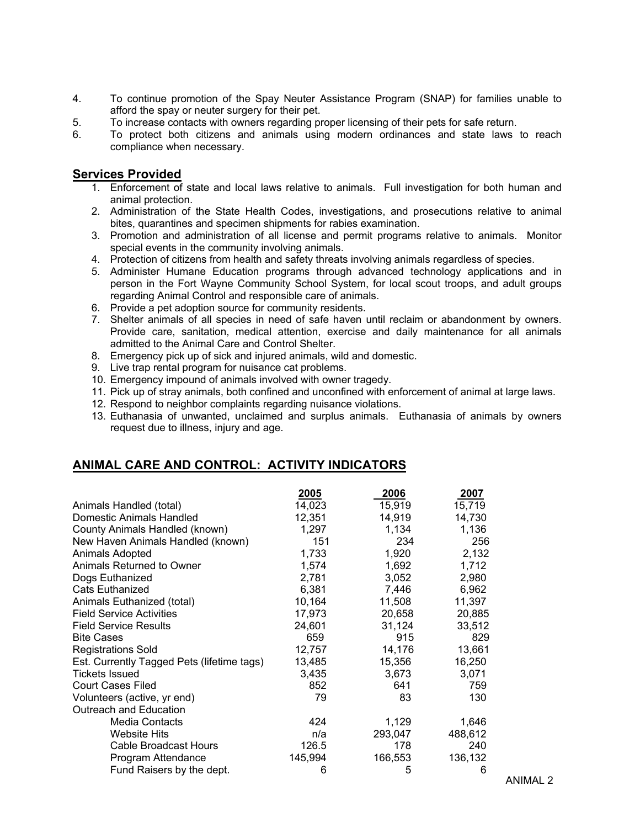- 4. To continue promotion of the Spay Neuter Assistance Program (SNAP) for families unable to afford the spay or neuter surgery for their pet.
- 5. To increase contacts with owners regarding proper licensing of their pets for safe return.
- 6. To protect both citizens and animals using modern ordinances and state laws to reach compliance when necessary.

### Services Provided

- 1. Enforcement of state and local laws relative to animals. Full investigation for both human and animal protection.
- 2. Administration of the State Health Codes, investigations, and prosecutions relative to animal bites, quarantines and specimen shipments for rabies examination.
- 3. Promotion and administration of all license and permit programs relative to animals. Monitor special events in the community involving animals.
- 4. Protection of citizens from health and safety threats involving animals regardless of species.
- 5. Administer Humane Education programs through advanced technology applications and in person in the Fort Wayne Community School System, for local scout troops, and adult groups regarding Animal Control and responsible care of animals.
- 6. Provide a pet adoption source for community residents.
- 7. Shelter animals of all species in need of safe haven until reclaim or abandonment by owners. Provide care, sanitation, medical attention, exercise and daily maintenance for all animals admitted to the Animal Care and Control Shelter.
- 8. Emergency pick up of sick and injured animals, wild and domestic.
- 9. Live trap rental program for nuisance cat problems.
- 10. Emergency impound of animals involved with owner tragedy.
- 11. Pick up of stray animals, both confined and unconfined with enforcement of animal at large laws.
- 12. Respond to neighbor complaints regarding nuisance violations.
- 13. Euthanasia of unwanted, unclaimed and surplus animals. Euthanasia of animals by owners request due to illness, injury and age.

## ANIMAL CARE AND CONTROL: ACTIVITY INDICATORS

|                                            | 2005    | 2006    | 2007    |
|--------------------------------------------|---------|---------|---------|
| Animals Handled (total)                    | 14,023  | 15,919  | 15,719  |
| Domestic Animals Handled                   | 12,351  | 14,919  | 14,730  |
| County Animals Handled (known)             | 1,297   | 1,134   | 1,136   |
| New Haven Animals Handled (known)          | 151     | 234     | 256     |
| Animals Adopted                            | 1,733   | 1,920   | 2,132   |
| Animals Returned to Owner                  | 1,574   | 1,692   | 1,712   |
| Dogs Euthanized                            | 2,781   | 3,052   | 2,980   |
| Cats Euthanized                            | 6,381   | 7,446   | 6,962   |
| Animals Euthanized (total)                 | 10,164  | 11,508  | 11,397  |
| <b>Field Service Activities</b>            | 17,973  | 20,658  | 20,885  |
| Field Service Results                      | 24,601  | 31,124  | 33,512  |
| <b>Bite Cases</b>                          | 659     | 915     | 829     |
| <b>Registrations Sold</b>                  | 12,757  | 14,176  | 13,661  |
| Est. Currently Tagged Pets (lifetime tags) | 13,485  | 15,356  | 16,250  |
| <b>Tickets Issued</b>                      | 3,435   | 3,673   | 3,071   |
| <b>Court Cases Filed</b>                   | 852     | 641     | 759     |
| Volunteers (active, yr end)                | 79      | 83      | 130     |
| Outreach and Education                     |         |         |         |
| Media Contacts                             | 424     | 1,129   | 1,646   |
| Website Hits                               | n/a     | 293,047 | 488,612 |
| Cable Broadcast Hours                      | 126.5   | 178     | 240     |
| Program Attendance                         | 145,994 | 166,553 | 136,132 |
| Fund Raisers by the dept.                  | 6       | 5       | 6       |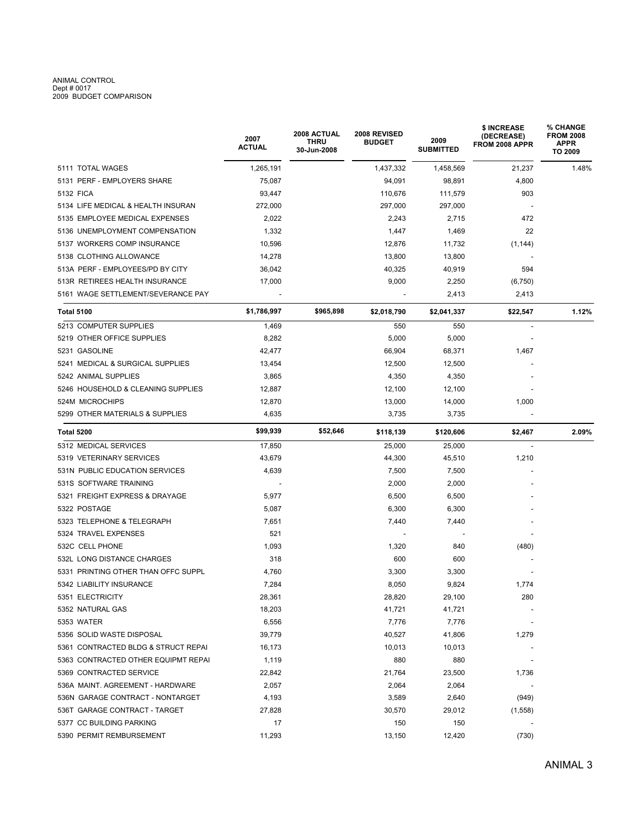# ANIMAL CONTROL Dept # 0017 2009 BUDGET COMPARISON

|                                     | 2007<br><b>ACTUAL</b> | 2008 ACTUAL<br>THRU<br>30-Jun-2008 | 2008 REVISED<br><b>BUDGET</b> | 2009<br><b>SUBMITTED</b> | \$ INCREASE<br>(DECREASE)<br>FROM 2008 APPR | <b>% CHANGE</b><br><b>FROM 2008</b><br>APPR<br>TO 2009 |
|-------------------------------------|-----------------------|------------------------------------|-------------------------------|--------------------------|---------------------------------------------|--------------------------------------------------------|
| 5111 TOTAL WAGES                    | 1,265,191             |                                    | 1,437,332                     | 1,458,569                | 21,237                                      | 1.48%                                                  |
| 5131 PERF - EMPLOYERS SHARE         | 75,087                |                                    | 94,091                        | 98,891                   | 4,800                                       |                                                        |
| 5132 FICA                           | 93,447                |                                    | 110,676                       | 111,579                  | 903                                         |                                                        |
| 5134 LIFE MEDICAL & HEALTH INSURAN  | 272,000               |                                    | 297,000                       | 297,000                  |                                             |                                                        |
| 5135 EMPLOYEE MEDICAL EXPENSES      | 2,022                 |                                    | 2,243                         | 2,715                    | 472                                         |                                                        |
| 5136 UNEMPLOYMENT COMPENSATION      | 1,332                 |                                    | 1,447                         | 1,469                    | 22                                          |                                                        |
| 5137 WORKERS COMP INSURANCE         | 10,596                |                                    | 12,876                        | 11,732                   | (1, 144)                                    |                                                        |
| 5138 CLOTHING ALLOWANCE             | 14,278                |                                    | 13,800                        | 13,800                   |                                             |                                                        |
| 513A PERF - EMPLOYEES/PD BY CITY    | 36,042                |                                    | 40,325                        | 40,919                   | 594                                         |                                                        |
| 513R RETIREES HEALTH INSURANCE      | 17,000                |                                    | 9,000                         | 2,250                    | (6, 750)                                    |                                                        |
| 5161 WAGE SETTLEMENT/SEVERANCE PAY  |                       |                                    |                               | 2,413                    | 2,413                                       |                                                        |
| <b>Total 5100</b>                   | \$1,786,997           | \$965,898                          | \$2,018,790                   | \$2,041,337              | \$22,547                                    | 1.12%                                                  |
| 5213 COMPUTER SUPPLIES              | 1,469                 |                                    | 550                           | 550                      | $\overline{\phantom{a}}$                    |                                                        |
| 5219 OTHER OFFICE SUPPLIES          | 8,282                 |                                    | 5,000                         | 5,000                    |                                             |                                                        |
| 5231 GASOLINE                       | 42,477                |                                    | 66,904                        | 68,371                   | 1,467                                       |                                                        |
| 5241 MEDICAL & SURGICAL SUPPLIES    | 13,454                |                                    | 12,500                        | 12,500                   |                                             |                                                        |
| 5242 ANIMAL SUPPLIES                | 3,865                 |                                    | 4,350                         | 4,350                    |                                             |                                                        |
| 5246 HOUSEHOLD & CLEANING SUPPLIES  | 12,887                |                                    | 12,100                        | 12,100                   |                                             |                                                        |
| 524M MICROCHIPS                     | 12,870                |                                    | 13,000                        | 14,000                   | 1,000                                       |                                                        |
| 5299 OTHER MATERIALS & SUPPLIES     | 4,635                 |                                    | 3,735                         | 3,735                    |                                             |                                                        |
| Total 5200                          | \$99,939              | \$52,646                           | \$118,139                     | \$120,606                | \$2,467                                     | 2.09%                                                  |
| 5312 MEDICAL SERVICES               | 17,850                |                                    | 25,000                        | 25,000                   |                                             |                                                        |
| 5319 VETERINARY SERVICES            | 43,679                |                                    | 44,300                        | 45,510                   | 1,210                                       |                                                        |
| 531N PUBLIC EDUCATION SERVICES      | 4,639                 |                                    | 7,500                         | 7,500                    |                                             |                                                        |
| 531S SOFTWARE TRAINING              |                       |                                    | 2,000                         | 2,000                    |                                             |                                                        |
| 5321 FREIGHT EXPRESS & DRAYAGE      | 5,977                 |                                    | 6,500                         | 6,500                    |                                             |                                                        |
| 5322 POSTAGE                        | 5,087                 |                                    | 6,300                         | 6,300                    |                                             |                                                        |
| 5323 TELEPHONE & TELEGRAPH          | 7,651                 |                                    | 7,440                         | 7,440                    |                                             |                                                        |
| 5324 TRAVEL EXPENSES                | 521                   |                                    |                               |                          |                                             |                                                        |
| 532C CELL PHONE                     | 1,093                 |                                    | 1,320                         | 840                      | (480)                                       |                                                        |
| 532L LONG DISTANCE CHARGES          | 318                   |                                    | 600                           | 600                      |                                             |                                                        |
| 5331 PRINTING OTHER THAN OFFC SUPPL | 4,760                 |                                    | 3,300                         | 3,300                    |                                             |                                                        |
| 5342 LIABILITY INSURANCE            | 7,284                 |                                    | 8,050                         | 9,824                    | 1,774                                       |                                                        |
| 5351 ELECTRICITY                    | 28,361                |                                    | 28,820                        | 29,100                   | 280                                         |                                                        |
| 5352 NATURAL GAS                    | 18,203                |                                    | 41,721                        | 41,721                   |                                             |                                                        |
| 5353 WATER                          | 6,556                 |                                    | 7,776                         | 7,776                    |                                             |                                                        |
| 5356 SOLID WASTE DISPOSAL           | 39,779                |                                    | 40,527                        | 41,806                   | 1,279                                       |                                                        |
| 5361 CONTRACTED BLDG & STRUCT REPAI | 16,173                |                                    | 10,013                        | 10,013                   |                                             |                                                        |
| 5363 CONTRACTED OTHER EQUIPMT REPAI | 1,119                 |                                    | 880                           | 880                      |                                             |                                                        |
| 5369 CONTRACTED SERVICE             | 22,842                |                                    | 21,764                        | 23,500                   | 1,736                                       |                                                        |
| 536A MAINT. AGREEMENT - HARDWARE    | 2,057                 |                                    | 2,064                         | 2,064                    |                                             |                                                        |
| 536N GARAGE CONTRACT - NONTARGET    | 4,193                 |                                    | 3,589                         | 2,640                    | (949)                                       |                                                        |
| 536T GARAGE CONTRACT - TARGET       | 27,828                |                                    | 30,570                        | 29,012                   | (1,558)                                     |                                                        |
| 5377 CC BUILDING PARKING            | 17                    |                                    | 150                           | 150                      |                                             |                                                        |
| 5390 PERMIT REMBURSEMENT            | 11,293                |                                    | 13,150                        | 12,420                   | (730)                                       |                                                        |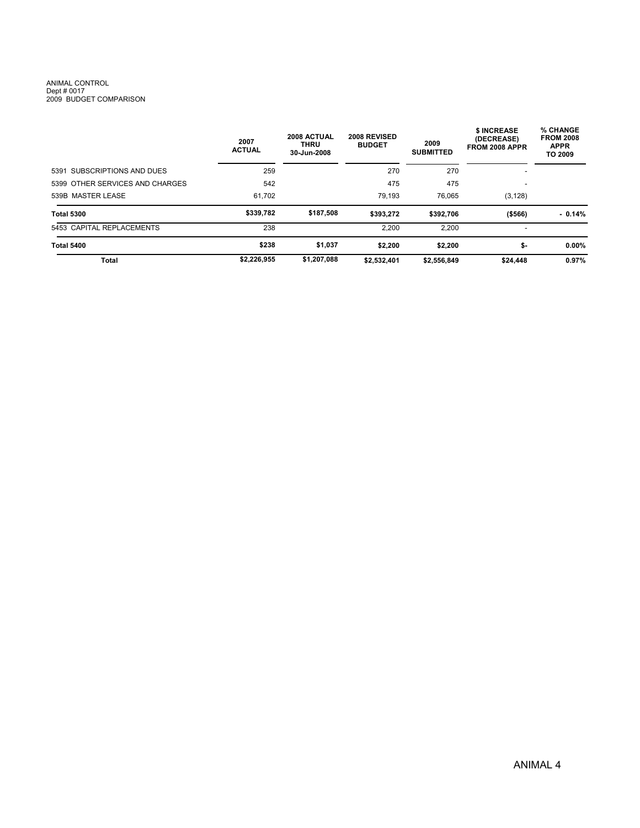# ANIMAL CONTROL Dept # 0017 2009 BUDGET COMPARISON

|                                 | 2007<br><b>ACTUAL</b> | 2008 ACTUAL<br><b>THRU</b><br>30-Jun-2008 | <b>2008 REVISED</b><br><b>BUDGET</b> | 2009<br><b>SUBMITTED</b> | \$ INCREASE<br>(DECREASE)<br>FROM 2008 APPR | % CHANGE<br><b>FROM 2008</b><br><b>APPR</b><br><b>TO 2009</b> |  |
|---------------------------------|-----------------------|-------------------------------------------|--------------------------------------|--------------------------|---------------------------------------------|---------------------------------------------------------------|--|
| 5391 SUBSCRIPTIONS AND DUES     | 259                   |                                           | 270                                  | 270                      |                                             |                                                               |  |
| 5399 OTHER SERVICES AND CHARGES | 542                   |                                           | 475                                  | 475                      | ٠                                           |                                                               |  |
| 539B MASTER LEASE               | 61,702                |                                           | 79.193                               | 76,065                   | (3, 128)                                    |                                                               |  |
| <b>Total 5300</b>               | \$339.782             | \$187,508                                 | \$393,272                            | \$392.706                | ( \$566)                                    | $-0.14%$                                                      |  |
| 5453 CAPITAL REPLACEMENTS       | 238                   |                                           | 2.200                                | 2.200                    | $\overline{a}$                              |                                                               |  |
| <b>Total 5400</b>               | \$238                 | \$1,037                                   | \$2,200                              | \$2,200                  | \$-                                         | $0.00\%$                                                      |  |
| Total                           | \$2,226,955           | \$1,207,088                               | \$2,532,401                          | \$2,556,849              | \$24,448                                    | 0.97%                                                         |  |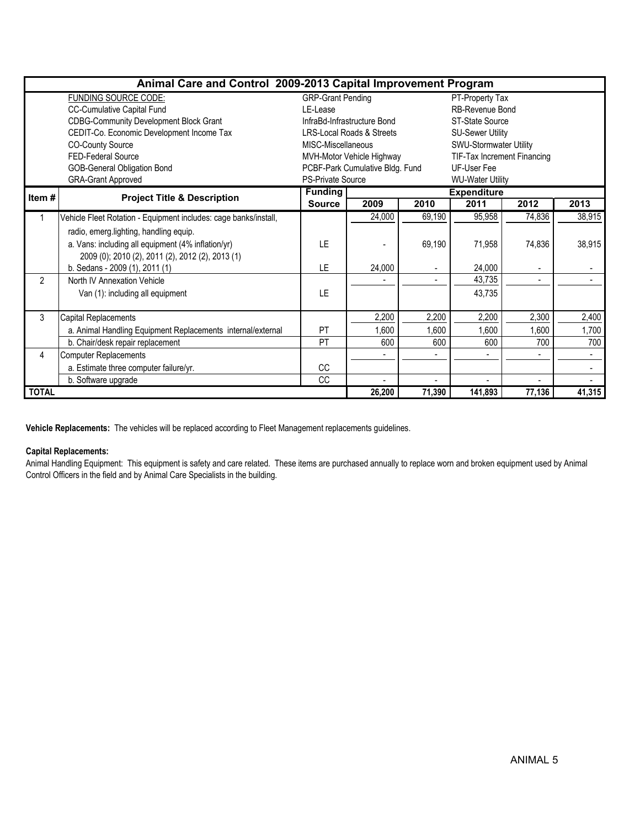| Animal Care and Control 2009-2013 Capital Improvement Program |                                                                  |                                             |                                                |        |                             |                |        |  |  |  |
|---------------------------------------------------------------|------------------------------------------------------------------|---------------------------------------------|------------------------------------------------|--------|-----------------------------|----------------|--------|--|--|--|
|                                                               | <b>FUNDING SOURCE CODE:</b>                                      | <b>GRP-Grant Pending</b><br>PT-Property Tax |                                                |        |                             |                |        |  |  |  |
|                                                               | <b>CC-Cumulative Capital Fund</b>                                | LE-Lease                                    |                                                |        | <b>RB-Revenue Bond</b>      |                |        |  |  |  |
|                                                               | <b>CDBG-Community Development Block Grant</b>                    |                                             | InfraBd-Infrastructure Bond<br>ST-State Source |        |                             |                |        |  |  |  |
|                                                               | CEDIT-Co. Economic Development Income Tax                        |                                             | <b>LRS-Local Roads &amp; Streets</b>           |        | <b>SU-Sewer Utility</b>     |                |        |  |  |  |
|                                                               | <b>CO-County Source</b>                                          | MISC-Miscellaneous                          |                                                |        | SWU-Stormwater Utility      |                |        |  |  |  |
|                                                               | FED-Federal Source                                               |                                             | MVH-Motor Vehicle Highway                      |        | TIF-Tax Increment Financing |                |        |  |  |  |
|                                                               | <b>GOB-General Obligation Bond</b>                               |                                             | PCBF-Park Cumulative Bldg. Fund                |        | <b>UF-User Fee</b>          |                |        |  |  |  |
|                                                               | <b>GRA-Grant Approved</b>                                        | <b>PS-Private Source</b>                    |                                                |        | <b>WU-Water Utility</b>     |                |        |  |  |  |
| Item #                                                        | <b>Project Title &amp; Description</b>                           | <b>Funding</b>                              |                                                |        | <b>Expenditure</b>          |                |        |  |  |  |
|                                                               |                                                                  | <b>Source</b>                               | 2009                                           | 2010   | 2011                        | 2012           | 2013   |  |  |  |
|                                                               | Vehicle Fleet Rotation - Equipment includes: cage banks/install, |                                             | 24,000                                         | 69,190 | 95,958                      | 74,836         | 38,915 |  |  |  |
|                                                               | radio, emerg.lighting, handling equip.                           |                                             |                                                |        |                             |                |        |  |  |  |
|                                                               | a. Vans: including all equipment (4% inflation/yr)               | LE                                          |                                                | 69,190 | 71,958                      | 74,836         | 38,915 |  |  |  |
|                                                               | 2009 (0); 2010 (2), 2011 (2), 2012 (2), 2013 (1)                 |                                             |                                                |        |                             |                |        |  |  |  |
|                                                               | b. Sedans - 2009 (1), 2011 (1)                                   | LE                                          | 24,000                                         |        | 24,000                      |                |        |  |  |  |
| $\overline{2}$                                                | North IV Annexation Vehicle                                      |                                             |                                                |        | 43,735                      | $\blacksquare$ |        |  |  |  |
|                                                               | Van (1): including all equipment                                 | LE                                          |                                                |        | 43,735                      |                |        |  |  |  |
|                                                               |                                                                  |                                             |                                                |        |                             |                |        |  |  |  |
| 3                                                             | Capital Replacements                                             |                                             | 2,200                                          | 2,200  | 2,200                       | 2,300          | 2,400  |  |  |  |
|                                                               | a. Animal Handling Equipment Replacements internal/external      | <b>PT</b>                                   | 1,600                                          | 1,600  | 1,600                       | 1,600          | 1,700  |  |  |  |
|                                                               | b. Chair/desk repair replacement                                 | PT                                          | 600                                            | 600    | 600                         | 700            | 700    |  |  |  |
| 4                                                             | <b>Computer Replacements</b>                                     |                                             |                                                |        |                             |                | $\sim$ |  |  |  |
|                                                               | a. Estimate three computer failure/yr.                           | CC                                          |                                                |        |                             |                |        |  |  |  |
|                                                               | b. Software upgrade                                              | CC                                          |                                                |        |                             |                |        |  |  |  |
| <b>TOTAL</b>                                                  |                                                                  |                                             | 26,200                                         | 71,390 | 141,893                     | 77,136         | 41,315 |  |  |  |

Vehicle Replacements: The vehicles will be replaced according to Fleet Management replacements guidelines.

#### Capital Replacements:

Animal Handling Equipment: This equipment is safety and care related. These items are purchased annually to replace worn and broken equipment used by Animal Control Officers in the field and by Animal Care Specialists in the building.